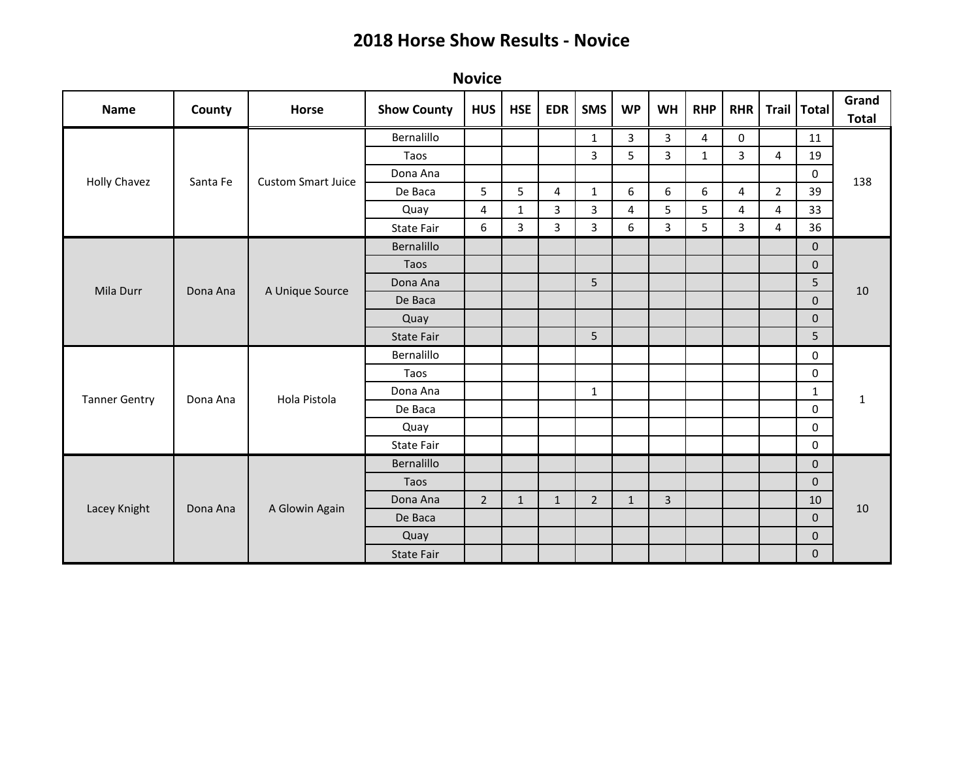| <b>Name</b>          | County   | Horse                     | <b>Show County</b> | <b>HUS</b>     | <b>HSE</b>     | <b>EDR</b>   | <b>SMS</b>     | <b>WP</b>      | <b>WH</b>      | <b>RHP</b>   | <b>RHR</b>     |                | Trail   Total    | Grand<br><b>Total</b> |
|----------------------|----------|---------------------------|--------------------|----------------|----------------|--------------|----------------|----------------|----------------|--------------|----------------|----------------|------------------|-----------------------|
| Holly Chavez         | Santa Fe | <b>Custom Smart Juice</b> | Bernalillo         |                |                |              | 1              | 3              | 3              | 4            | 0              |                | 11               | 138                   |
|                      |          |                           | Taos               |                |                |              | 3              | 5              | 3              | $\mathbf{1}$ | 3              | 4              | 19               |                       |
|                      |          |                           | Dona Ana           |                |                |              |                |                |                |              |                |                | $\boldsymbol{0}$ |                       |
|                      |          |                           | De Baca            | 5              | 5              | 4            | 1              | 6              | 6              | 6            | 4              | $\overline{2}$ | 39               |                       |
|                      |          |                           | Quay               | 4              | $\mathbf{1}$   | 3            | 3              | $\overline{4}$ | 5              | 5            | $\overline{4}$ | 4              | 33               |                       |
|                      |          |                           | <b>State Fair</b>  | 6              | $\overline{3}$ | 3            | 3              | 6              | 3              | 5            | 3              | 4              | 36               |                       |
|                      |          | A Unique Source           | Bernalillo         |                |                |              |                |                |                |              |                |                | $\mathbf 0$      | 10                    |
|                      |          |                           | Taos               |                |                |              |                |                |                |              |                |                | $\mathbf 0$      |                       |
| Mila Durr            | Dona Ana |                           | Dona Ana           |                |                |              | 5              |                |                |              |                |                | 5                |                       |
|                      |          |                           | De Baca            |                |                |              |                |                |                |              |                |                | $\mathbf 0$      |                       |
|                      |          |                           | Quay               |                |                |              |                |                |                |              |                |                | $\mathbf 0$      |                       |
|                      |          |                           | <b>State Fair</b>  |                |                |              | 5              |                |                |              |                |                | 5                |                       |
|                      | Dona Ana | Hola Pistola              | Bernalillo         |                |                |              |                |                |                |              |                |                | 0                | $\mathbf{1}$          |
|                      |          |                           | Taos               |                |                |              |                |                |                |              |                |                | 0                |                       |
| <b>Tanner Gentry</b> |          |                           | Dona Ana           |                |                |              | $\mathbf{1}$   |                |                |              |                |                | $\mathbf 1$      |                       |
|                      |          |                           | De Baca            |                |                |              |                |                |                |              |                |                | $\mathbf 0$      |                       |
|                      |          |                           | Quay               |                |                |              |                |                |                |              |                |                | 0                |                       |
|                      |          |                           | State Fair         |                |                |              |                |                |                |              |                |                | 0                |                       |
| Lacey Knight         | Dona Ana | A Glowin Again            | Bernalillo         |                |                |              |                |                |                |              |                |                | $\mathbf 0$      | 10                    |
|                      |          |                           | Taos               |                |                |              |                |                |                |              |                |                | $\mathbf 0$      |                       |
|                      |          |                           | Dona Ana           | $\overline{2}$ | $\mathbf{1}$   | $\mathbf{1}$ | $\overline{2}$ | $\mathbf{1}$   | $\overline{3}$ |              |                |                | 10               |                       |
|                      |          |                           | De Baca            |                |                |              |                |                |                |              |                |                | $\mathbf{0}$     |                       |
|                      |          |                           | Quay               |                |                |              |                |                |                |              |                |                | $\mathbf 0$      |                       |
|                      |          |                           | <b>State Fair</b>  |                |                |              |                |                |                |              |                |                | $\mathbf{0}$     |                       |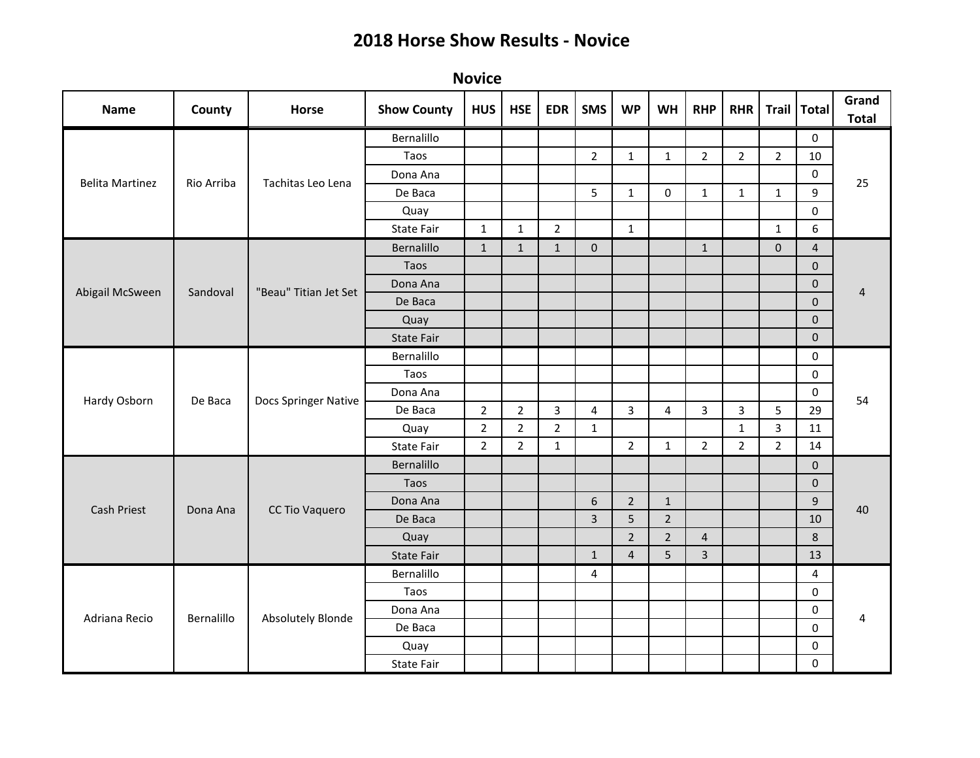| <b>Name</b>            | County     | Horse                    | <b>Show County</b> | <b>HUS</b>     | <b>HSE</b>     | <b>EDR</b>     | <b>SMS</b>     | <b>WP</b>      | <b>WH</b>        | <b>RHP</b>     | <b>RHR</b>              | Trail   Total  |                  | Grand<br><b>Total</b> |
|------------------------|------------|--------------------------|--------------------|----------------|----------------|----------------|----------------|----------------|------------------|----------------|-------------------------|----------------|------------------|-----------------------|
| <b>Belita Martinez</b> |            |                          | Bernalillo         |                |                |                |                |                |                  |                |                         |                | 0                | 25                    |
|                        |            |                          | Taos               |                |                |                | $\overline{2}$ | $\mathbf{1}$   | $\mathbf{1}$     | $\overline{2}$ | $\overline{2}$          | $\overline{2}$ | 10               |                       |
|                        | Rio Arriba | Tachitas Leo Lena        | Dona Ana           |                |                |                |                |                |                  |                |                         |                | $\pmb{0}$        |                       |
|                        |            |                          | De Baca            |                |                |                | 5              | $\mathbf{1}$   | $\boldsymbol{0}$ | $\mathbf{1}$   | $\mathbf{1}$            | $\mathbf{1}$   | 9                |                       |
|                        |            |                          | Quay               |                |                |                |                |                |                  |                |                         |                | 0                |                       |
|                        |            |                          | <b>State Fair</b>  | $\mathbf{1}$   | $\mathbf{1}$   | $\overline{2}$ |                | $\mathbf{1}$   |                  |                |                         | $\mathbf{1}$   | $\boldsymbol{6}$ |                       |
|                        |            | "Beau" Titian Jet Set    | Bernalillo         | $\mathbf{1}$   | $\mathbf{1}$   | $\mathbf{1}$   | $\mathbf 0$    |                |                  | $\mathbf{1}$   |                         | $\mathbf 0$    | $\overline{4}$   | 4                     |
|                        |            |                          | Taos               |                |                |                |                |                |                  |                |                         |                | $\mathbf 0$      |                       |
|                        |            |                          | Dona Ana           |                |                |                |                |                |                  |                |                         |                | $\mathbf 0$      |                       |
| Abigail McSween        | Sandoval   |                          | De Baca            |                |                |                |                |                |                  |                |                         |                | $\mathbf{0}$     |                       |
|                        |            |                          | Quay               |                |                |                |                |                |                  |                |                         |                | $\mathbf 0$      |                       |
|                        |            |                          | State Fair         |                |                |                |                |                |                  |                |                         |                | $\mathbf 0$      |                       |
|                        | De Baca    | Docs Springer Native     | Bernalillo         |                |                |                |                |                |                  |                |                         |                | $\mathbf 0$      | 54                    |
|                        |            |                          | Taos               |                |                |                |                |                |                  |                |                         |                | $\mathbf 0$      |                       |
|                        |            |                          | Dona Ana           |                |                |                |                |                |                  |                |                         |                | $\mathbf 0$      |                       |
| Hardy Osborn           |            |                          | De Baca            | $\overline{2}$ | $\overline{2}$ | 3              | 4              | $\mathbf{3}$   | 4                | 3              | $\overline{\mathbf{3}}$ | 5              | 29               |                       |
|                        |            |                          | Quay               | $\overline{2}$ | $\overline{2}$ | $\overline{2}$ | $\mathbf{1}$   |                |                  |                | $\mathbf{1}$            | $\overline{3}$ | 11               |                       |
|                        |            |                          | <b>State Fair</b>  | $\overline{2}$ | $\overline{2}$ | $\mathbf{1}$   |                | $\overline{2}$ | $\mathbf{1}$     | $\overline{2}$ | $\overline{2}$          | $\overline{2}$ | 14               |                       |
|                        | Dona Ana   | CC Tio Vaquero           | Bernalillo         |                |                |                |                |                |                  |                |                         |                | $\mathbf 0$      | 40                    |
|                        |            |                          | Taos               |                |                |                |                |                |                  |                |                         |                | $\mathbf{0}$     |                       |
|                        |            |                          | Dona Ana           |                |                |                | $6\phantom{1}$ | $\overline{2}$ | $\mathbf{1}$     |                |                         |                | $\overline{9}$   |                       |
| <b>Cash Priest</b>     |            |                          | De Baca            |                |                |                | $\overline{3}$ | 5              | $\overline{2}$   |                |                         |                | 10               |                       |
|                        |            |                          | Quay               |                |                |                |                | $\overline{2}$ | $\overline{2}$   | $\overline{4}$ |                         |                | $\,8\,$          |                       |
|                        |            |                          | <b>State Fair</b>  |                |                |                | $\mathbf{1}$   | $\overline{4}$ | 5                | $\overline{3}$ |                         |                | 13               |                       |
| Adriana Recio          |            | <b>Absolutely Blonde</b> | Bernalillo         |                |                |                | 4              |                |                  |                |                         |                | 4                |                       |
|                        |            |                          | Taos               |                |                |                |                |                |                  |                |                         |                | $\pmb{0}$        | 4                     |
|                        |            |                          | Dona Ana           |                |                |                |                |                |                  |                |                         |                | $\mathbf 0$      |                       |
|                        | Bernalillo |                          | De Baca            |                |                |                |                |                |                  |                |                         |                | 0                |                       |
|                        |            |                          | Quay               |                |                |                |                |                |                  |                |                         |                | 0                |                       |
|                        |            |                          | State Fair         |                |                |                |                |                |                  |                |                         |                | $\pmb{0}$        |                       |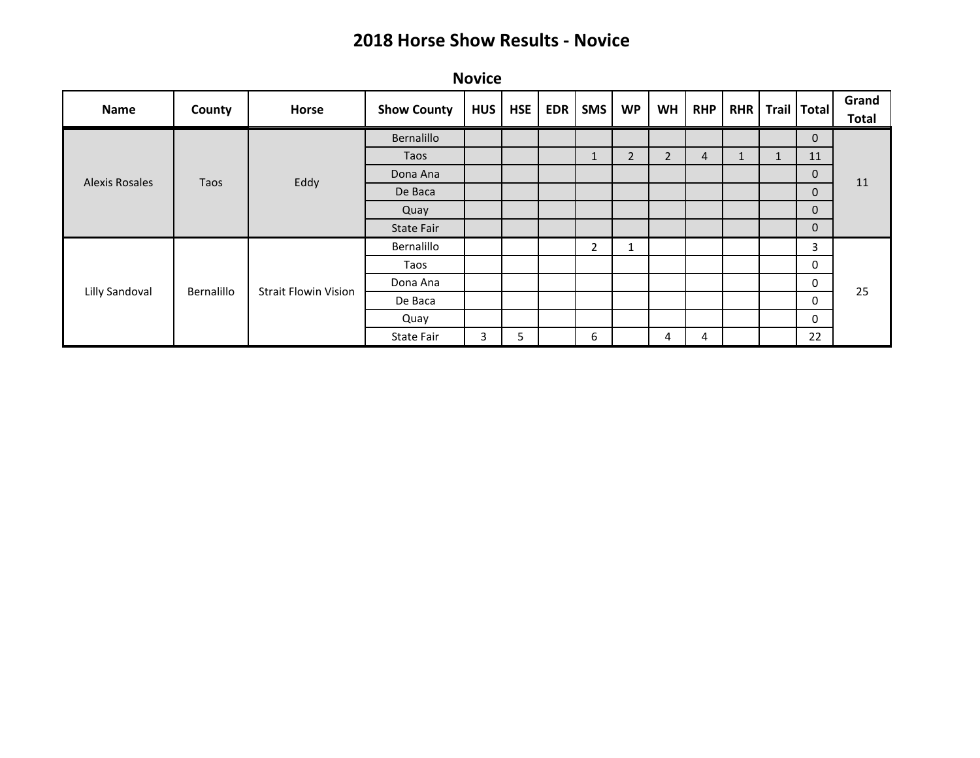| Name           | County     | <b>Horse</b>                | <b>Show County</b> | HUS | HSE | <b>EDR</b> | <b>SMS</b>     | <b>WP</b>      | <b>WH</b>      | <b>RHP</b> | <b>RHR</b> |              | Trail   Total | Grand<br><b>Total</b> |
|----------------|------------|-----------------------------|--------------------|-----|-----|------------|----------------|----------------|----------------|------------|------------|--------------|---------------|-----------------------|
| Alexis Rosales |            |                             | Bernalillo         |     |     |            |                |                |                |            |            |              | $\mathbf 0$   | 11                    |
|                |            |                             | Taos               |     |     |            | T              | $\overline{2}$ | $\overline{2}$ | 4          |            | $\mathbf{1}$ | 11            |                       |
|                |            |                             | Dona Ana           |     |     |            |                |                |                |            |            |              | $\mathbf 0$   |                       |
|                | Taos       | Eddy                        | De Baca            |     |     |            |                |                |                |            |            |              | $\mathbf 0$   |                       |
|                |            |                             | Quay               |     |     |            |                |                |                |            |            |              | $\mathbf{0}$  |                       |
|                |            |                             | State Fair         |     |     |            |                |                |                |            |            |              | $\mathbf{0}$  |                       |
| Lilly Sandoval |            |                             | Bernalillo         |     |     |            | $\overline{2}$ | 1              |                |            |            |              | 3             | 25                    |
|                |            |                             | Taos               |     |     |            |                |                |                |            |            |              | 0             |                       |
|                | Bernalillo | <b>Strait Flowin Vision</b> | Dona Ana           |     |     |            |                |                |                |            |            |              | 0             |                       |
|                |            |                             | De Baca            |     |     |            |                |                |                |            |            |              | 0             |                       |
|                |            |                             | Quay               |     |     |            |                |                |                |            |            |              | 0             |                       |
|                |            |                             | State Fair         | 3   | 5   |            | 6              |                | 4              | 4          |            |              | 22            |                       |